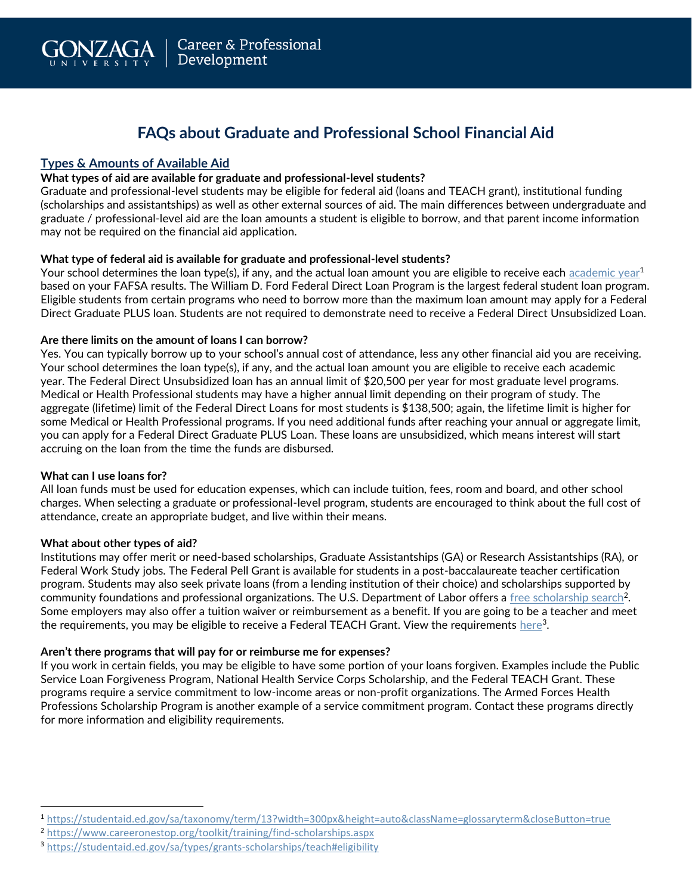# **FAQs about Graduate and Professional School Financial Aid**

# **Types & Amounts of Available Aid**

#### **What types of aid are available for graduate and professional-level students?**

Graduate and professional-level students may be eligible for federal aid (loans and TEACH grant), institutional funding (scholarships and assistantships) as well as other external sources of aid. The main differences between undergraduate and graduate / professional-level aid are the loan amounts a student is eligible to borrow, and that parent income information may not be required on the financial aid application.

## **What type of federal aid is available for graduate and professional-level students?**

Your school determines the loan type(s), if any, and the actual loan amount you are eligible to receive each [academic year](https://studentaid.ed.gov/sa/taxonomy/term/13?width=300px&height=auto&className=glossaryterm&closeButton=true)<sup>1</sup> based on your FAFSA results. The William D. Ford Federal Direct Loan Program is the largest federal student loan program. Eligible students from certain programs who need to borrow more than the maximum loan amount may apply for a Federal Direct Graduate PLUS loan. Students are not required to demonstrate need to receive a Federal Direct Unsubsidized Loan.

#### **Are there limits on the amount of loans I can borrow?**

Yes. You can typically borrow up to your school's annual cost of attendance, less any other financial aid you are receiving. Your school determines the loan type(s), if any, and the actual loan amount you are eligible to receive each academic year. The Federal Direct Unsubsidized loan has an annual limit of \$20,500 per year for most graduate level programs. Medical or Health Professional students may have a higher annual limit depending on their program of study. The aggregate (lifetime) limit of the Federal Direct Loans for most students is \$138,500; again, the lifetime limit is higher for some Medical or Health Professional programs. If you need additional funds after reaching your annual or aggregate limit, you can apply for a Federal Direct Graduate PLUS Loan. These loans are unsubsidized, which means interest will start accruing on the loan from the time the funds are disbursed.

#### **What can I use loans for?**

 $\overline{a}$ 

All loan funds must be used for education expenses, which can include tuition, fees, room and board, and other school charges. When selecting a graduate or professional-level program, students are encouraged to think about the full cost of attendance, create an appropriate budget, and live within their means.

#### **What about other types of aid?**

Institutions may offer merit or need-based scholarships, Graduate Assistantships (GA) or Research Assistantships (RA), or Federal Work Study jobs. The Federal Pell Grant is available for students in a post-baccalaureate teacher certification program. Students may also seek private loans (from a lending institution of their choice) and scholarships supported by community foundations and professional organizations. The U.S. Department of Labor offers a <u>free scholarship search</u><sup>2</sup>. Some employers may also offer a tuition waiver or reimbursement as a benefit. If you are going to be a teacher and meet the requirements, you may be eligible to receive a Federal TEACH Grant. View the requirements  $\mathrm{here}^3.$ 

#### **Aren't there programs that will pay for or reimburse me for expenses?**

If you work in certain fields, you may be eligible to have some portion of your loans forgiven. Examples include the Public Service Loan Forgiveness Program, National Health Service Corps Scholarship, and the Federal TEACH Grant. These programs require a service commitment to low-income areas or non-profit organizations. The Armed Forces Health Professions Scholarship Program is another example of a service commitment program. Contact these programs directly for more information and eligibility requirements.

<sup>1</sup> <https://studentaid.ed.gov/sa/taxonomy/term/13?width=300px&height=auto&className=glossaryterm&closeButton=true>

<sup>2</sup> <https://www.careeronestop.org/toolkit/training/find-scholarships.aspx>

<sup>3</sup> <https://studentaid.ed.gov/sa/types/grants-scholarships/teach#eligibility>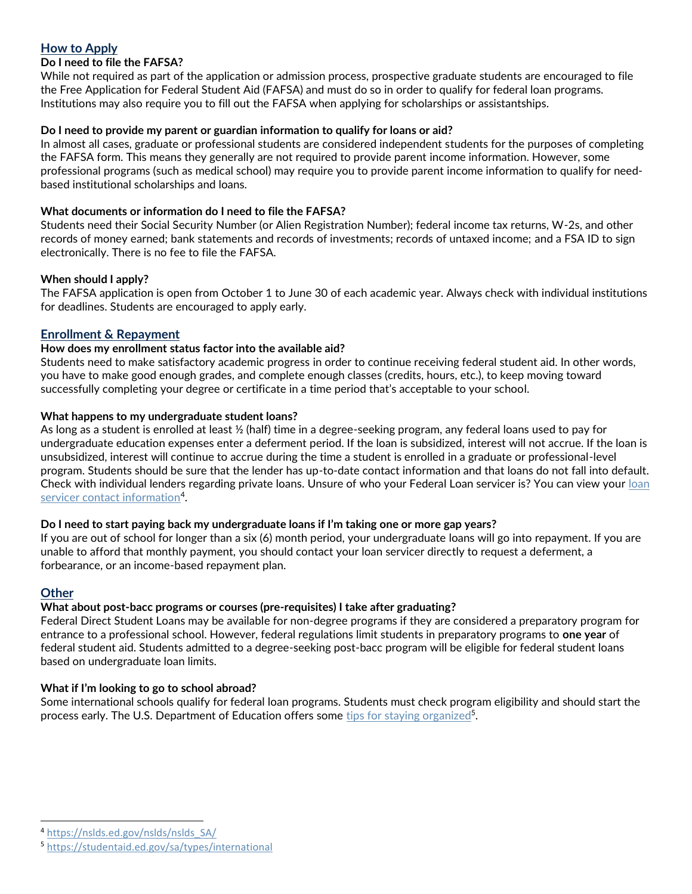# **How to Apply**

## **Do I need to file the FAFSA?**

While not required as part of the application or admission process, prospective graduate students are encouraged to file the Free Application for Federal Student Aid (FAFSA) and must do so in order to qualify for federal loan programs. Institutions may also require you to fill out the FAFSA when applying for scholarships or assistantships.

## **Do I need to provide my parent or guardian information to qualify for loans or aid?**

In almost all cases, graduate or professional students are considered independent students for the purposes of completing the FAFSA form. This means they generally are not required to provide parent income information. However, some professional programs (such as medical school) may require you to provide parent income information to qualify for needbased institutional scholarships and loans.

## **What documents or information do I need to file the FAFSA?**

Students need their Social Security Number (or Alien Registration Number); federal income tax returns, W-2s, and other records of money earned; bank statements and records of investments; records of untaxed income; and a FSA ID to sign electronically. There is no fee to file the FAFSA.

## **When should I apply?**

The FAFSA application is open from October 1 to June 30 of each academic year. Always check with individual institutions for deadlines. Students are encouraged to apply early.

## **Enrollment & Repayment**

## **How does my enrollment status factor into the available aid?**

Students need to make satisfactory academic progress in order to continue receiving federal student aid. In other words, you have to make good enough grades, and complete enough classes (credits, hours, etc.), to keep moving toward successfully completing your degree or certificate in a time period that's acceptable to your school.

## **What happens to my undergraduate student loans?**

As long as a student is enrolled at least ½ (half) time in a degree-seeking program, any federal loans used to pay for undergraduate education expenses enter a deferment period. If the loan is subsidized, interest will not accrue. If the loan is unsubsidized, interest will continue to accrue during the time a student is enrolled in a graduate or professional-level program. Students should be sure that the lender has up-to-date contact information and that loans do not fall into default. Check with individual lenders regarding private loans. Unsure of who your Federal Loan servicer is? You can view your loan [servicer contact information](https://nslds.ed.gov/nslds/nslds_SA/)<sup>4</sup>.

#### **Do I need to start paying back my undergraduate loans if I'm taking one or more gap years?**

If you are out of school for longer than a six (6) month period, your undergraduate loans will go into repayment. If you are unable to afford that monthly payment, you should contact your loan servicer directly to request a deferment, a forbearance, or an income-based repayment plan.

## **Other**

 $\overline{a}$ 

## **What about post-bacc programs or courses (pre-requisites) I take after graduating?**

Federal Direct Student Loans may be available for non-degree programs if they are considered a preparatory program for entrance to a professional school. However, federal regulations limit students in preparatory programs to **one year** of federal student aid. Students admitted to a degree-seeking post-bacc program will be eligible for federal student loans based on undergraduate loan limits.

#### **What if I'm looking to go to school abroad?**

Some international schools qualify for federal loan programs. Students must check program eligibility and should start the process early. The U.S. Department of Education offers some tips for [staying organized](https://studentaid.ed.gov/sa/types/international)<sup>5</sup>.

<sup>4</sup> [https://nslds.ed.gov/nslds/nslds\\_SA/](https://nslds.ed.gov/nslds/nslds_SA/)

<sup>5</sup> <https://studentaid.ed.gov/sa/types/international>